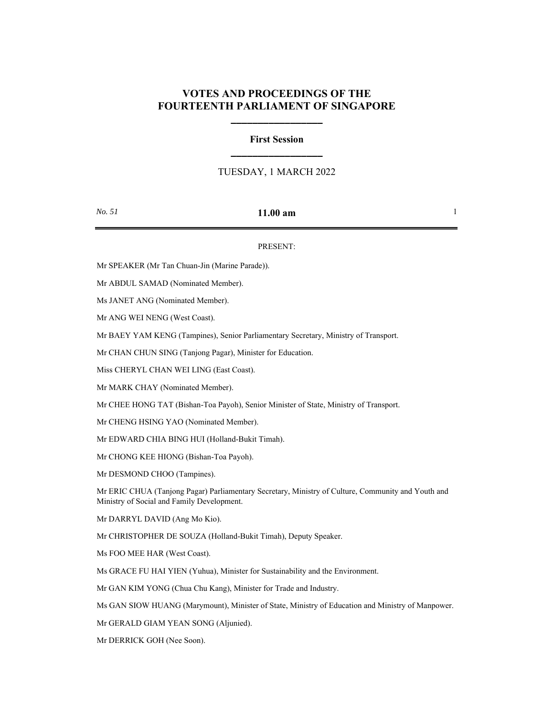## **VOTES AND PROCEEDINGS OF THE FOURTEENTH PARLIAMENT OF SINGAPORE**

**\_\_\_\_\_\_\_\_\_\_\_\_\_\_\_\_\_**

# **First Session \_\_\_\_\_\_\_\_\_\_\_\_\_\_\_\_\_**

## TUESDAY, 1 MARCH 2022

### *No. 51* **11.00 am** 1

#### PRESENT:

Mr SPEAKER (Mr Tan Chuan-Jin (Marine Parade)).

Mr ABDUL SAMAD (Nominated Member).

Ms JANET ANG (Nominated Member).

Mr ANG WEI NENG (West Coast).

Mr BAEY YAM KENG (Tampines), Senior Parliamentary Secretary, Ministry of Transport.

Mr CHAN CHUN SING (Tanjong Pagar), Minister for Education.

Miss CHERYL CHAN WEI LING (East Coast).

Mr MARK CHAY (Nominated Member).

Mr CHEE HONG TAT (Bishan-Toa Payoh), Senior Minister of State, Ministry of Transport.

Mr CHENG HSING YAO (Nominated Member).

Mr EDWARD CHIA BING HUI (Holland-Bukit Timah).

Mr CHONG KEE HIONG (Bishan-Toa Payoh).

Mr DESMOND CHOO (Tampines).

Mr ERIC CHUA (Tanjong Pagar) Parliamentary Secretary, Ministry of Culture, Community and Youth and Ministry of Social and Family Development.

Mr DARRYL DAVID (Ang Mo Kio).

Mr CHRISTOPHER DE SOUZA (Holland-Bukit Timah), Deputy Speaker.

Ms FOO MEE HAR (West Coast).

Ms GRACE FU HAI YIEN (Yuhua), Minister for Sustainability and the Environment.

Mr GAN KIM YONG (Chua Chu Kang), Minister for Trade and Industry.

Ms GAN SIOW HUANG (Marymount), Minister of State, Ministry of Education and Ministry of Manpower.

Mr GERALD GIAM YEAN SONG (Aljunied).

Mr DERRICK GOH (Nee Soon).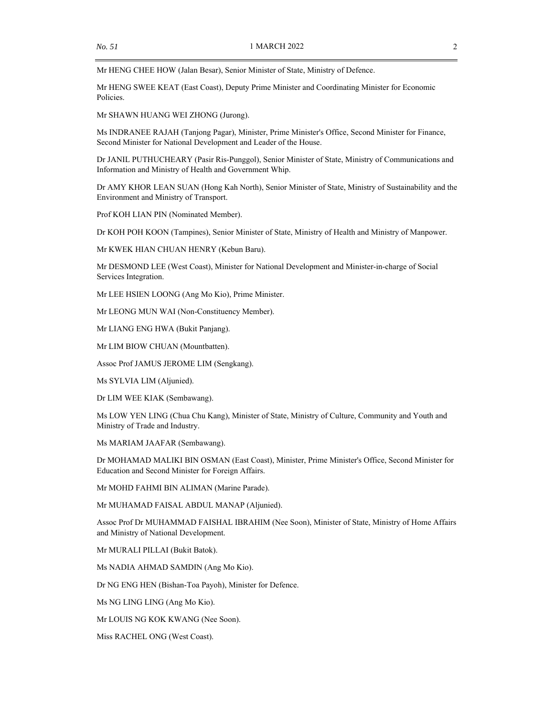Mr HENG CHEE HOW (Jalan Besar), Senior Minister of State, Ministry of Defence.

Mr HENG SWEE KEAT (East Coast), Deputy Prime Minister and Coordinating Minister for Economic Policies.

Mr SHAWN HUANG WEI ZHONG (Jurong).

Ms INDRANEE RAJAH (Tanjong Pagar), Minister, Prime Minister's Office, Second Minister for Finance, Second Minister for National Development and Leader of the House.

Dr JANIL PUTHUCHEARY (Pasir Ris-Punggol), Senior Minister of State, Ministry of Communications and Information and Ministry of Health and Government Whip.

Dr AMY KHOR LEAN SUAN (Hong Kah North), Senior Minister of State, Ministry of Sustainability and the Environment and Ministry of Transport.

Prof KOH LIAN PIN (Nominated Member).

Dr KOH POH KOON (Tampines), Senior Minister of State, Ministry of Health and Ministry of Manpower.

Mr KWEK HIAN CHUAN HENRY (Kebun Baru).

Mr DESMOND LEE (West Coast), Minister for National Development and Minister-in-charge of Social Services Integration.

Mr LEE HSIEN LOONG (Ang Mo Kio), Prime Minister.

Mr LEONG MUN WAI (Non-Constituency Member).

Mr LIANG ENG HWA (Bukit Panjang).

Mr LIM BIOW CHUAN (Mountbatten).

Assoc Prof JAMUS JEROME LIM (Sengkang).

Ms SYLVIA LIM (Aljunied).

Dr LIM WEE KIAK (Sembawang).

Ms LOW YEN LING (Chua Chu Kang), Minister of State, Ministry of Culture, Community and Youth and Ministry of Trade and Industry.

Ms MARIAM JAAFAR (Sembawang).

Dr MOHAMAD MALIKI BIN OSMAN (East Coast), Minister, Prime Minister's Office, Second Minister for Education and Second Minister for Foreign Affairs.

Mr MOHD FAHMI BIN ALIMAN (Marine Parade).

Mr MUHAMAD FAISAL ABDUL MANAP (Aljunied).

Assoc Prof Dr MUHAMMAD FAISHAL IBRAHIM (Nee Soon), Minister of State, Ministry of Home Affairs and Ministry of National Development.

Mr MURALI PILLAI (Bukit Batok).

Ms NADIA AHMAD SAMDIN (Ang Mo Kio).

Dr NG ENG HEN (Bishan-Toa Payoh), Minister for Defence.

Ms NG LING LING (Ang Mo Kio).

Mr LOUIS NG KOK KWANG (Nee Soon).

Miss RACHEL ONG (West Coast).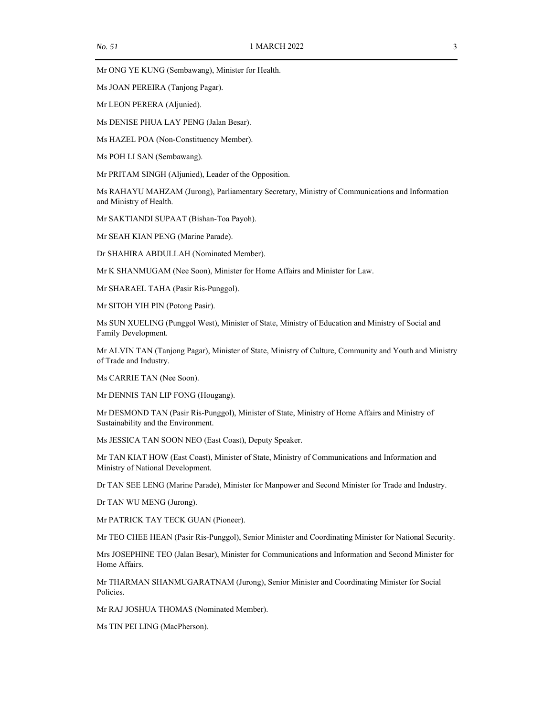Mr ONG YE KUNG (Sembawang), Minister for Health.

Ms JOAN PEREIRA (Tanjong Pagar).

Mr LEON PERERA (Aljunied).

Ms DENISE PHUA LAY PENG (Jalan Besar).

Ms HAZEL POA (Non-Constituency Member).

Ms POH LI SAN (Sembawang).

Mr PRITAM SINGH (Aljunied), Leader of the Opposition.

Ms RAHAYU MAHZAM (Jurong), Parliamentary Secretary, Ministry of Communications and Information and Ministry of Health.

Mr SAKTIANDI SUPAAT (Bishan-Toa Payoh).

Mr SEAH KIAN PENG (Marine Parade).

Dr SHAHIRA ABDULLAH (Nominated Member).

Mr K SHANMUGAM (Nee Soon), Minister for Home Affairs and Minister for Law.

Mr SHARAEL TAHA (Pasir Ris-Punggol).

Mr SITOH YIH PIN (Potong Pasir).

Ms SUN XUELING (Punggol West), Minister of State, Ministry of Education and Ministry of Social and Family Development.

Mr ALVIN TAN (Tanjong Pagar), Minister of State, Ministry of Culture, Community and Youth and Ministry of Trade and Industry.

Ms CARRIE TAN (Nee Soon).

Mr DENNIS TAN LIP FONG (Hougang).

Mr DESMOND TAN (Pasir Ris-Punggol), Minister of State, Ministry of Home Affairs and Ministry of Sustainability and the Environment.

Ms JESSICA TAN SOON NEO (East Coast), Deputy Speaker.

Mr TAN KIAT HOW (East Coast), Minister of State, Ministry of Communications and Information and Ministry of National Development.

Dr TAN SEE LENG (Marine Parade), Minister for Manpower and Second Minister for Trade and Industry.

Dr TAN WU MENG (Jurong).

Mr PATRICK TAY TECK GUAN (Pioneer).

Mr TEO CHEE HEAN (Pasir Ris-Punggol), Senior Minister and Coordinating Minister for National Security.

Mrs JOSEPHINE TEO (Jalan Besar), Minister for Communications and Information and Second Minister for Home Affairs.

Mr THARMAN SHANMUGARATNAM (Jurong), Senior Minister and Coordinating Minister for Social Policies.

Mr RAJ JOSHUA THOMAS (Nominated Member).

Ms TIN PEI LING (MacPherson).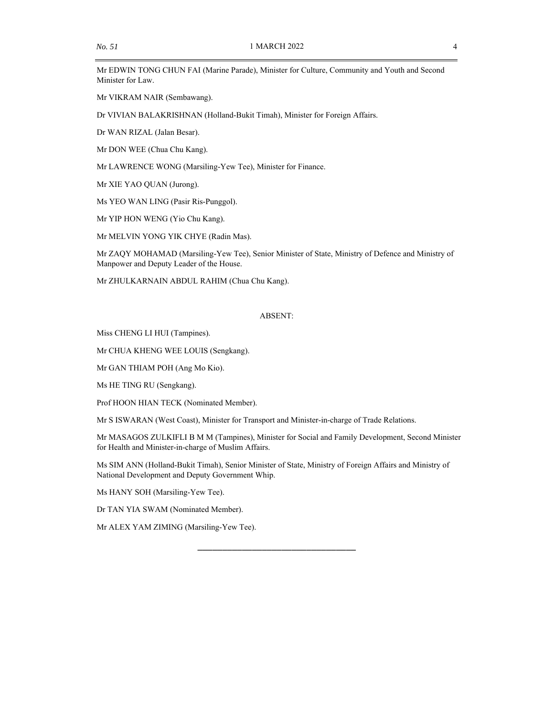Mr EDWIN TONG CHUN FAI (Marine Parade), Minister for Culture, Community and Youth and Second Minister for Law.

Mr VIKRAM NAIR (Sembawang).

Dr VIVIAN BALAKRISHNAN (Holland-Bukit Timah), Minister for Foreign Affairs.

Dr WAN RIZAL (Jalan Besar).

Mr DON WEE (Chua Chu Kang).

Mr LAWRENCE WONG (Marsiling-Yew Tee), Minister for Finance.

Mr XIE YAO QUAN (Jurong).

Ms YEO WAN LING (Pasir Ris-Punggol).

Mr YIP HON WENG (Yio Chu Kang).

Mr MELVIN YONG YIK CHYE (Radin Mas).

Mr ZAQY MOHAMAD (Marsiling-Yew Tee), Senior Minister of State, Ministry of Defence and Ministry of Manpower and Deputy Leader of the House.

Mr ZHULKARNAIN ABDUL RAHIM (Chua Chu Kang).

#### ABSENT:

Miss CHENG LI HUI (Tampines).

Mr CHUA KHENG WEE LOUIS (Sengkang).

Mr GAN THIAM POH (Ang Mo Kio).

Ms HE TING RU (Sengkang).

Prof HOON HIAN TECK (Nominated Member).

Mr S ISWARAN (West Coast), Minister for Transport and Minister-in-charge of Trade Relations.

Mr MASAGOS ZULKIFLI B M M (Tampines), Minister for Social and Family Development, Second Minister for Health and Minister-in-charge of Muslim Affairs.

\_\_\_\_\_\_\_\_\_\_\_\_\_\_\_\_\_\_\_\_\_\_\_\_\_\_\_\_\_\_\_\_

Ms SIM ANN (Holland-Bukit Timah), Senior Minister of State, Ministry of Foreign Affairs and Ministry of National Development and Deputy Government Whip.

Ms HANY SOH (Marsiling-Yew Tee).

Dr TAN YIA SWAM (Nominated Member).

Mr ALEX YAM ZIMING (Marsiling-Yew Tee).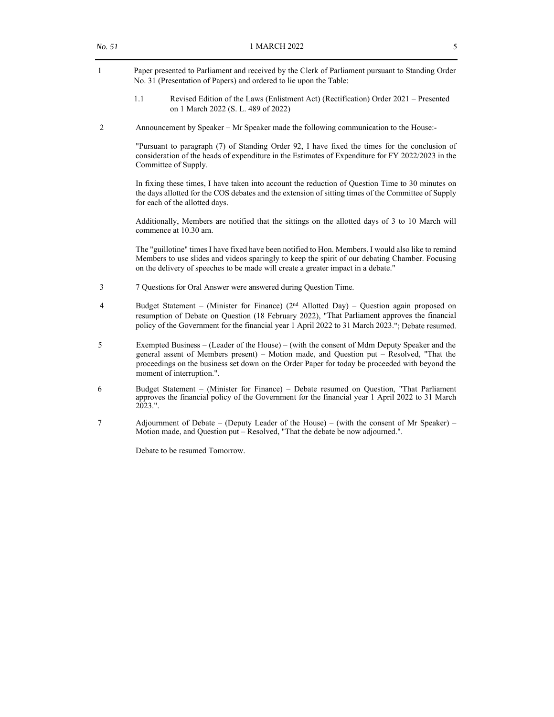| 1 | Paper presented to Parliament and received by the Clerk of Parliament pursuant to Standing Order<br>No. 31 (Presentation of Papers) and ordered to lie upon the Table:                                                                                                                          |
|---|-------------------------------------------------------------------------------------------------------------------------------------------------------------------------------------------------------------------------------------------------------------------------------------------------|
|   | 1.1<br>Revised Edition of the Laws (Enlistment Act) (Rectification) Order 2021 – Presented<br>on 1 March 2022 (S. L. 489 of 2022)                                                                                                                                                               |
| 2 | Announcement by Speaker – Mr Speaker made the following communication to the House:-                                                                                                                                                                                                            |
|   | "Pursuant to paragraph (7) of Standing Order 92, I have fixed the times for the conclusion of<br>consideration of the heads of expenditure in the Estimates of Expenditure for FY 2022/2023 in the<br>Committee of Supply.                                                                      |
|   | In fixing these times, I have taken into account the reduction of Question Time to 30 minutes on<br>the days allotted for the COS debates and the extension of sitting times of the Committee of Supply<br>for each of the allotted days.                                                       |
|   | Additionally, Members are notified that the sittings on the allotted days of 3 to 10 March will<br>commence at 10.30 am.                                                                                                                                                                        |
|   | The "guillotine" times I have fixed have been notified to Hon. Members. I would also like to remind<br>Members to use slides and videos sparingly to keep the spirit of our debating Chamber. Focusing<br>on the delivery of speeches to be made will create a greater impact in a debate."     |
| 3 | 7 Questions for Oral Answer were answered during Question Time.                                                                                                                                                                                                                                 |
| 4 | Budget Statement – (Minister for Finance) $(2nd$ Allotted Day) – Question again proposed on<br>resumption of Debate on Question (18 February 2022), "That Parliament approves the financial<br>policy of the Government for the financial year 1 April 2022 to 31 March 2023."; Debate resumed. |

- 5 Exempted Business (Leader of the House) (with the consent of Mdm Deputy Speaker and the general assent of Members present) – Motion made, and Question put – Resolved, "That the proceedings on the business set down on the Order Paper for today be proceeded with beyond the moment of interruption.".
- 6 Budget Statement (Minister for Finance) Debate resumed on Question, "That Parliament approves the financial policy of the Government for the financial year 1 April 2022 to 31 March 2023.".
- 7 Adjournment of Debate (Deputy Leader of the House) (with the consent of Mr Speaker) Motion made, and Question put – Resolved, "That the debate be now adjourned.".

Debate to be resumed Tomorrow.